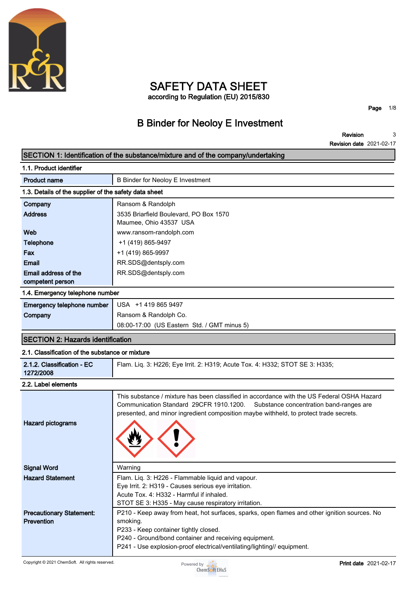

### **SAFETY DATA SHEET according to Regulation (EU) 2015/830**

**Page 1/8**

### **B Binder for Neoloy E Investment**

**Revision Revision date 2021-02-17 3**

|                                                       | SECTION 1: Identification of the substance/mixture and of the company/undertaking                                                                                                                                                                                                     |  |  |  |
|-------------------------------------------------------|---------------------------------------------------------------------------------------------------------------------------------------------------------------------------------------------------------------------------------------------------------------------------------------|--|--|--|
| 1.1. Product identifier                               |                                                                                                                                                                                                                                                                                       |  |  |  |
| <b>Product name</b>                                   | <b>B Binder for Neoloy E Investment</b>                                                                                                                                                                                                                                               |  |  |  |
| 1.3. Details of the supplier of the safety data sheet |                                                                                                                                                                                                                                                                                       |  |  |  |
| Company                                               | Ransom & Randolph                                                                                                                                                                                                                                                                     |  |  |  |
| <b>Address</b>                                        | 3535 Briarfield Boulevard, PO Box 1570<br>Maumee, Ohio 43537 USA                                                                                                                                                                                                                      |  |  |  |
| Web                                                   | www.ransom-randolph.com                                                                                                                                                                                                                                                               |  |  |  |
| <b>Telephone</b>                                      | +1 (419) 865-9497                                                                                                                                                                                                                                                                     |  |  |  |
| Fax                                                   | +1 (419) 865-9997                                                                                                                                                                                                                                                                     |  |  |  |
| Email                                                 | RR.SDS@dentsply.com                                                                                                                                                                                                                                                                   |  |  |  |
| Email address of the<br>competent person              | RR.SDS@dentsply.com                                                                                                                                                                                                                                                                   |  |  |  |
| 1.4. Emergency telephone number                       |                                                                                                                                                                                                                                                                                       |  |  |  |
| Emergency telephone number                            | USA +1 419 865 9497                                                                                                                                                                                                                                                                   |  |  |  |
| Company                                               | Ransom & Randolph Co.                                                                                                                                                                                                                                                                 |  |  |  |
|                                                       | 08:00-17:00 (US Eastern Std. / GMT minus 5)                                                                                                                                                                                                                                           |  |  |  |
| <b>SECTION 2: Hazards identification</b>              |                                                                                                                                                                                                                                                                                       |  |  |  |
| 2.1. Classification of the substance or mixture       |                                                                                                                                                                                                                                                                                       |  |  |  |
| 2.1.2. Classification - EC<br>1272/2008               | Flam. Liq. 3: H226; Eye Irrit. 2: H319; Acute Tox. 4: H332; STOT SE 3: H335;                                                                                                                                                                                                          |  |  |  |
| 2.2. Label elements                                   |                                                                                                                                                                                                                                                                                       |  |  |  |
| <b>Hazard pictograms</b>                              | This substance / mixture has been classified in accordance with the US Federal OSHA Hazard<br>Communication Standard 29CFR 1910.1200.<br>Substance concentration band-ranges are<br>presented, and minor ingredient composition maybe withheld, to protect trade secrets.             |  |  |  |
| <b>Signal Word</b>                                    | Warning                                                                                                                                                                                                                                                                               |  |  |  |
| <b>Hazard Statement</b>                               | Flam. Liq. 3: H226 - Flammable liquid and vapour.<br>Eye Irrit. 2: H319 - Causes serious eye irritation.<br>Acute Tox. 4: H332 - Harmful if inhaled.<br>STOT SE 3: H335 - May cause respiratory irritation.                                                                           |  |  |  |
| <b>Precautionary Statement:</b><br>Prevention         | P210 - Keep away from heat, hot surfaces, sparks, open flames and other ignition sources. No<br>smoking.<br>P233 - Keep container tightly closed.<br>P240 - Ground/bond container and receiving equipment.<br>P241 - Use explosion-proof electrical/ventilating/lighting// equipment. |  |  |  |

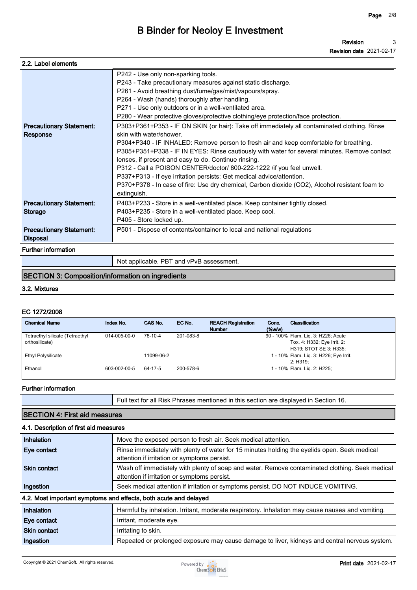| 2.2. Label elements                                |                                                                                                                                                                                                                                                                                                                                                                                                                                                                                                                                                                                                                                                                                                                                                                                                                                                                                                                                                                                                                  |
|----------------------------------------------------|------------------------------------------------------------------------------------------------------------------------------------------------------------------------------------------------------------------------------------------------------------------------------------------------------------------------------------------------------------------------------------------------------------------------------------------------------------------------------------------------------------------------------------------------------------------------------------------------------------------------------------------------------------------------------------------------------------------------------------------------------------------------------------------------------------------------------------------------------------------------------------------------------------------------------------------------------------------------------------------------------------------|
| <b>Precautionary Statement:</b><br>Response        | P242 - Use only non-sparking tools.<br>P243 - Take precautionary measures against static discharge.<br>P261 - Avoid breathing dust/fume/gas/mist/vapours/spray.<br>P264 - Wash (hands) thoroughly after handling.<br>P271 - Use only outdoors or in a well-ventilated area.<br>P280 - Wear protective gloves/protective clothing/eye protection/face protection.<br>P303+P361+P353 - IF ON SKIN (or hair): Take off immediately all contaminated clothing. Rinse<br>skin with water/shower<br>P304+P340 - IF INHALED: Remove person to fresh air and keep comfortable for breathing.<br>P305+P351+P338 - IF IN EYES: Rinse cautiously with water for several minutes. Remove contact<br>lenses, if present and easy to do. Continue rinsing.<br>P312 - Call a POISON CENTER/doctor/ 800-222-1222 / if you feel unwell.<br>P337+P313 - If eye irritation persists: Get medical advice/attention.<br>P370+P378 - In case of fire: Use dry chemical, Carbon dioxide (CO2), Alcohol resistant foam to<br>extinguish. |
| <b>Precautionary Statement:</b><br><b>Storage</b>  | P403+P233 - Store in a well-ventilated place. Keep container tightly closed.<br>P403+P235 - Store in a well-ventilated place. Keep cool.<br>P405 - Store locked up.                                                                                                                                                                                                                                                                                                                                                                                                                                                                                                                                                                                                                                                                                                                                                                                                                                              |
| <b>Precautionary Statement:</b><br><b>Disposal</b> | P501 - Dispose of contents/container to local and national regulations                                                                                                                                                                                                                                                                                                                                                                                                                                                                                                                                                                                                                                                                                                                                                                                                                                                                                                                                           |
| <b>Further information</b>                         |                                                                                                                                                                                                                                                                                                                                                                                                                                                                                                                                                                                                                                                                                                                                                                                                                                                                                                                                                                                                                  |
|                                                    | Not applicable. PBT and vPvB assessment.                                                                                                                                                                                                                                                                                                                                                                                                                                                                                                                                                                                                                                                                                                                                                                                                                                                                                                                                                                         |

### **SECTION 3: Composition/information on ingredients**

#### **3.2. Mixtures**

#### **EC 1272/2008**

| <b>Chemical Name</b>            | Index No.    | CAS No.    | EC No.    | <b>REACH Registration</b><br><b>Number</b> | Conc.<br>$(\%w/w)$ | Classification                         |
|---------------------------------|--------------|------------|-----------|--------------------------------------------|--------------------|----------------------------------------|
| Tetraethyl silicate (Tetraethyl | 014-005-00-0 | 78-10-4    | 201-083-8 |                                            |                    | 90 - 100% Flam. Lig. 3: H226; Acute    |
| orthosilicate)                  |              |            |           |                                            |                    | Tox. 4: H332; Eye Irrit. 2:            |
|                                 |              |            |           |                                            |                    | H319; STOT SE 3: H335;                 |
| <b>Ethyl Polysilicate</b>       |              | 11099-06-2 |           |                                            |                    | 1 - 10% Flam. Lig. 3: H226; Eye Irrit. |
|                                 |              |            |           |                                            |                    | 2: H319:                               |
| Ethanol                         | 603-002-00-5 | 64-17-5    | 200-578-6 |                                            |                    | 1 - 10% Flam. Lig. 2: H225;            |
|                                 |              |            |           |                                            |                    |                                        |

### **Further information**

**Full text for all Risk Phrases mentioned in this section are displayed in Section 16.**

### **SECTION 4: First aid measures 4.1. Description of first aid measures**

| Inhalation                                                       | Move the exposed person to fresh air. Seek medical attention.                                                                                  |  |  |
|------------------------------------------------------------------|------------------------------------------------------------------------------------------------------------------------------------------------|--|--|
| Eye contact                                                      | Rinse immediately with plenty of water for 15 minutes holding the eyelids open. Seek medical<br>attention if irritation or symptoms persist.   |  |  |
| <b>Skin contact</b>                                              | Wash off immediately with plenty of soap and water. Remove contaminated clothing. Seek medical<br>attention if irritation or symptoms persist. |  |  |
| Ingestion                                                        | Seek medical attention if irritation or symptoms persist. DO NOT INDUCE VOMITING.                                                              |  |  |
| 4.2. Most important symptoms and effects, both acute and delayed |                                                                                                                                                |  |  |
| Inhalation                                                       | Harmful by inhalation. Irritant, moderate respiratory. Inhalation may cause nausea and vomiting.                                               |  |  |
| Eye contact                                                      | Irritant, moderate eye.                                                                                                                        |  |  |
| <b>Skin contact</b>                                              | Irritating to skin.                                                                                                                            |  |  |
| Ingestion                                                        | Repeated or prolonged exposure may cause damage to liver, kidneys and central nervous system.                                                  |  |  |
|                                                                  |                                                                                                                                                |  |  |

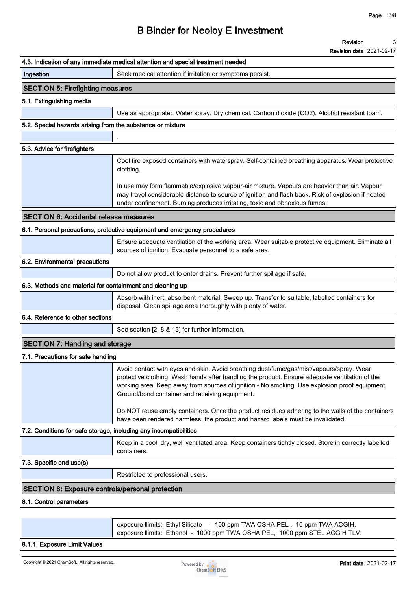|                                                                   | Revision<br>3<br><b>Revision date 2021-02-17</b>                                                                                                                                                                                                                                                                                              |
|-------------------------------------------------------------------|-----------------------------------------------------------------------------------------------------------------------------------------------------------------------------------------------------------------------------------------------------------------------------------------------------------------------------------------------|
|                                                                   | 4.3. Indication of any immediate medical attention and special treatment needed                                                                                                                                                                                                                                                               |
| Ingestion                                                         | Seek medical attention if irritation or symptoms persist.                                                                                                                                                                                                                                                                                     |
| <b>SECTION 5: Firefighting measures</b>                           |                                                                                                                                                                                                                                                                                                                                               |
| 5.1. Extinguishing media                                          |                                                                                                                                                                                                                                                                                                                                               |
|                                                                   | Use as appropriate:. Water spray. Dry chemical. Carbon dioxide (CO2). Alcohol resistant foam.                                                                                                                                                                                                                                                 |
| 5.2. Special hazards arising from the substance or mixture        |                                                                                                                                                                                                                                                                                                                                               |
|                                                                   |                                                                                                                                                                                                                                                                                                                                               |
| 5.3. Advice for firefighters                                      |                                                                                                                                                                                                                                                                                                                                               |
|                                                                   | Cool fire exposed containers with waterspray. Self-contained breathing apparatus. Wear protective<br>clothing.                                                                                                                                                                                                                                |
|                                                                   | In use may form flammable/explosive vapour-air mixture. Vapours are heavier than air. Vapour<br>may travel considerable distance to source of ignition and flash back. Risk of explosion if heated<br>under confinement. Burning produces irritating, toxic and obnoxious fumes.                                                              |
| <b>SECTION 6: Accidental release measures</b>                     |                                                                                                                                                                                                                                                                                                                                               |
|                                                                   | 6.1. Personal precautions, protective equipment and emergency procedures                                                                                                                                                                                                                                                                      |
|                                                                   | Ensure adequate ventilation of the working area. Wear suitable protective equipment. Eliminate all<br>sources of ignition. Evacuate personnel to a safe area.                                                                                                                                                                                 |
| 6.2. Environmental precautions                                    |                                                                                                                                                                                                                                                                                                                                               |
|                                                                   | Do not allow product to enter drains. Prevent further spillage if safe.                                                                                                                                                                                                                                                                       |
| 6.3. Methods and material for containment and cleaning up         |                                                                                                                                                                                                                                                                                                                                               |
|                                                                   | Absorb with inert, absorbent material. Sweep up. Transfer to suitable, labelled containers for<br>disposal. Clean spillage area thoroughly with plenty of water.                                                                                                                                                                              |
| 6.4. Reference to other sections                                  |                                                                                                                                                                                                                                                                                                                                               |
|                                                                   | See section [2, 8 & 13] for further information.                                                                                                                                                                                                                                                                                              |
| <b>SECTION 7: Handling and storage</b>                            |                                                                                                                                                                                                                                                                                                                                               |
| 7.1. Precautions for safe handling                                |                                                                                                                                                                                                                                                                                                                                               |
|                                                                   | Avoid contact with eyes and skin. Avoid breathing dust/fume/gas/mist/vapours/spray. Wear<br>protective clothing. Wash hands after handling the product. Ensure adequate ventilation of the<br>working area. Keep away from sources of ignition - No smoking. Use explosion proof equipment.<br>Ground/bond container and receiving equipment. |
|                                                                   | Do NOT reuse empty containers. Once the product residues adhering to the walls of the containers<br>have been rendered harmless, the product and hazard labels must be invalidated.                                                                                                                                                           |
| 7.2. Conditions for safe storage, including any incompatibilities |                                                                                                                                                                                                                                                                                                                                               |
|                                                                   | Keep in a cool, dry, well ventilated area. Keep containers tightly closed. Store in correctly labelled<br>containers.                                                                                                                                                                                                                         |
| 7.3. Specific end use(s)                                          |                                                                                                                                                                                                                                                                                                                                               |
|                                                                   | Restricted to professional users.                                                                                                                                                                                                                                                                                                             |
| <b>SECTION 8: Exposure controls/personal protection</b>           |                                                                                                                                                                                                                                                                                                                                               |
| 8.1. Control parameters                                           |                                                                                                                                                                                                                                                                                                                                               |
|                                                                   | exposure llimits: Ethyl Silicate - 100 ppm TWA OSHA PEL, 10 ppm TWA ACGIH.<br>exposure llimits: Ethanol - 1000 ppm TWA OSHA PEL, 1000 ppm STEL ACGIH TLV.                                                                                                                                                                                     |

#### **8.1.1. Exposure Limit Values**

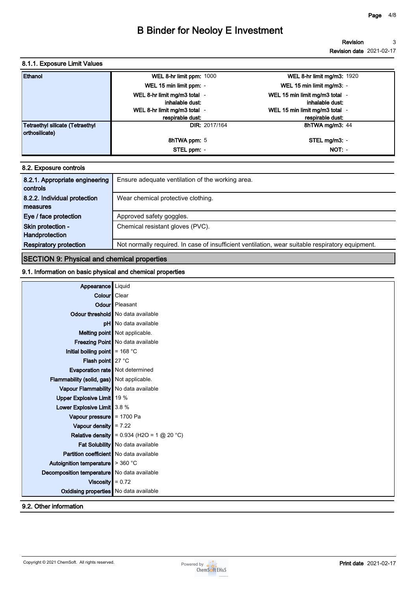**Revision Revision date 2021-02-17 3**

#### **8.1.1. Exposure Limit Values**

| Ethanol                                | WEL 8-hr limit ppm: 1000     | <b>WEL 8-hr limit mg/m3: 1920</b> |
|----------------------------------------|------------------------------|-----------------------------------|
|                                        | WEL 15 min limit ppm: -      | WEL 15 min limit mg/m3: -         |
|                                        | WEL 8-hr limit mg/m3 total - | WEL 15 min limit mg/m3 total -    |
|                                        | inhalable dust:              | inhalable dust:                   |
|                                        | WEL 8-hr limit mg/m3 total - | WEL 15 min limit mg/m3 total -    |
|                                        | respirable dust:             | respirable dust:                  |
| <b>Tetraethyl silicate (Tetraethyl</b> | <b>DIR: 2017/164</b>         | 8hTWA mg/m3: 44                   |
| orthosilicate)                         |                              |                                   |
|                                        | <b>8hTWA ppm: 5</b>          | STEL mg/m3: -                     |
|                                        | STEL ppm: -                  | $NOT: -$                          |

| 8.2. Exposure controls         |                                                                                                  |
|--------------------------------|--------------------------------------------------------------------------------------------------|
| 8.2.1. Appropriate engineering | Ensure adequate ventilation of the working area.                                                 |
| controls                       |                                                                                                  |
| 8.2.2. Individual protection   | Wear chemical protective clothing.                                                               |
| measures                       |                                                                                                  |
| Eye / face protection          | Approved safety goggles.                                                                         |
| Skin protection -              | Chemical resistant gloves (PVC).                                                                 |
| Handprotection                 |                                                                                                  |
| <b>Respiratory protection</b>  | Not normally required. In case of insufficient ventilation, wear suitable respiratory equipment. |

### **SECTION 9: Physical and chemical properties**

#### **9.1. Information on basic physical and chemical properties**

| Appearance                                            | Liquid                                                                  |
|-------------------------------------------------------|-------------------------------------------------------------------------|
| Colour   Clear                                        |                                                                         |
|                                                       | <b>Odour</b> Pleasant                                                   |
|                                                       | Odour threshold   No data available                                     |
|                                                       | <b>pH</b> No data available                                             |
|                                                       | Melting point Not applicable.                                           |
|                                                       | Freezing Point No data available                                        |
| Initial boiling point $\vert$ = 168 °C                |                                                                         |
| Flash point 27 °C                                     |                                                                         |
| Evaporation rate Not determined                       |                                                                         |
| <b>Flammability (solid, gas)</b> Not applicable.      |                                                                         |
| Vapour Flammability   No data available               |                                                                         |
| Upper Explosive Limit   19 %                          |                                                                         |
| Lower Explosive Limit 3.8 %                           |                                                                         |
| Vapour pressure $= 1700$ Pa                           |                                                                         |
| Vapour density $\vert$ = 7.22                         |                                                                         |
|                                                       | <b>Relative density</b> = $0.934$ (H2O = $1 \text{ @ } 20 \text{ °C}$ ) |
|                                                       | Fat Solubility   No data available                                      |
| <b>Partition coefficient</b> No data available        |                                                                         |
| Autoignition temperature $\blacktriangleright$ 360 °C |                                                                         |
| Decomposition temperature   No data available         |                                                                         |
| Viscosity $\vert = 0.72$                              |                                                                         |
| Oxidising properties No data available                |                                                                         |
| 9.2. Other information                                |                                                                         |

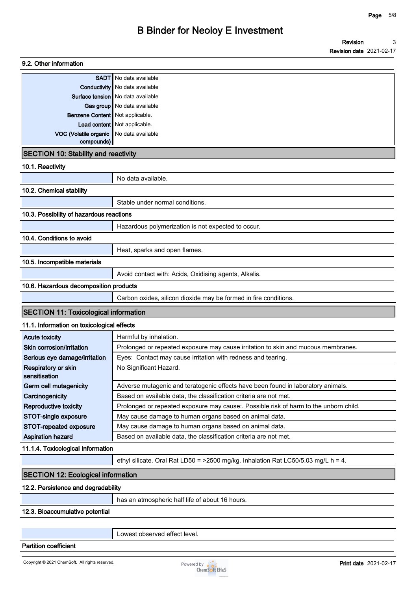| 9.2. Other information                       |                                                                                       |  |  |
|----------------------------------------------|---------------------------------------------------------------------------------------|--|--|
| <b>SADT</b>                                  | No data available                                                                     |  |  |
| Conductivity                                 | No data available                                                                     |  |  |
|                                              | <b>Surface tension</b> No data available                                              |  |  |
|                                              | Gas group   No data available                                                         |  |  |
| Benzene Content   Not applicable.            |                                                                                       |  |  |
|                                              | Lead content   Not applicable.                                                        |  |  |
| VOC (Volatile organic<br>compounds)          | No data available                                                                     |  |  |
| <b>SECTION 10: Stability and reactivity</b>  |                                                                                       |  |  |
| 10.1. Reactivity                             |                                                                                       |  |  |
|                                              | No data available.                                                                    |  |  |
| 10.2. Chemical stability                     |                                                                                       |  |  |
|                                              | Stable under normal conditions.                                                       |  |  |
| 10.3. Possibility of hazardous reactions     |                                                                                       |  |  |
|                                              | Hazardous polymerization is not expected to occur.                                    |  |  |
| 10.4. Conditions to avoid                    |                                                                                       |  |  |
|                                              | Heat, sparks and open flames.                                                         |  |  |
| 10.5. Incompatible materials                 |                                                                                       |  |  |
|                                              | Avoid contact with: Acids, Oxidising agents, Alkalis.                                 |  |  |
| 10.6. Hazardous decomposition products       |                                                                                       |  |  |
|                                              | Carbon oxides, silicon dioxide may be formed in fire conditions.                      |  |  |
| <b>SECTION 11: Toxicological information</b> |                                                                                       |  |  |
| 11.1. Information on toxicological effects   |                                                                                       |  |  |
| <b>Acute toxicity</b>                        | Harmful by inhalation.                                                                |  |  |
| Skin corrosion/irritation                    | Prolonged or repeated exposure may cause irritation to skin and mucous membranes.     |  |  |
| Serious eye damage/irritation                | Eyes: Contact may cause irritation with redness and tearing.                          |  |  |
| Respiratory or skin<br>sensitisation         | No Significant Hazard.                                                                |  |  |
| Germ cell mutagenicity                       | Adverse mutagenic and teratogenic effects have been found in laboratory animals.      |  |  |
| Carcinogenicity                              | Based on available data, the classification criteria are not met.                     |  |  |
| Reproductive toxicity                        | Prolonged or repeated exposure may cause:. Possible risk of harm to the unborn child. |  |  |
| STOT-single exposure                         | May cause damage to human organs based on animal data.                                |  |  |
| STOT-repeated exposure                       | May cause damage to human organs based on animal data.                                |  |  |
| <b>Aspiration hazard</b>                     | Based on available data, the classification criteria are not met.                     |  |  |
| 11.1.4. Toxicological Information            |                                                                                       |  |  |
|                                              | ethyl silicate. Oral Rat LD50 = >2500 mg/kg. Inhalation Rat LC50/5.03 mg/L h = 4.     |  |  |
| <b>SECTION 12: Ecological information</b>    |                                                                                       |  |  |
| 12.2. Persistence and degradability          |                                                                                       |  |  |
|                                              | has an atmospheric half life of about 16 hours.                                       |  |  |
| 12.3. Bioaccumulative potential              |                                                                                       |  |  |

**Lowest observed effect level.**

**Partition coefficient**

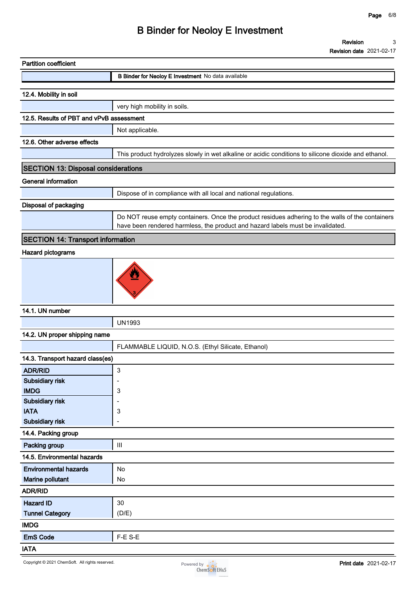|                                          | <b>Revision date ZUZI-UZ-17</b>                                                                                                                                                     |
|------------------------------------------|-------------------------------------------------------------------------------------------------------------------------------------------------------------------------------------|
| <b>Partition coefficient</b>             |                                                                                                                                                                                     |
|                                          | B Binder for Neoloy E Investment No data available                                                                                                                                  |
| 12.4. Mobility in soil                   |                                                                                                                                                                                     |
|                                          | very high mobility in soils.                                                                                                                                                        |
| 12.5. Results of PBT and vPvB assessment |                                                                                                                                                                                     |
|                                          |                                                                                                                                                                                     |
|                                          | Not applicable.                                                                                                                                                                     |
| 12.6. Other adverse effects              |                                                                                                                                                                                     |
|                                          | This product hydrolyzes slowly in wet alkaline or acidic conditions to silicone dioxide and ethanol.                                                                                |
| SECTION 13: Disposal considerations      |                                                                                                                                                                                     |
| <b>General information</b>               |                                                                                                                                                                                     |
|                                          | Dispose of in compliance with all local and national regulations.                                                                                                                   |
| Disposal of packaging                    |                                                                                                                                                                                     |
|                                          | Do NOT reuse empty containers. Once the product residues adhering to the walls of the containers<br>have been rendered harmless, the product and hazard labels must be invalidated. |
| <b>SECTION 14: Transport information</b> |                                                                                                                                                                                     |
| Hazard pictograms                        |                                                                                                                                                                                     |
|                                          |                                                                                                                                                                                     |
| 14.1. UN number                          |                                                                                                                                                                                     |
|                                          | <b>UN1993</b>                                                                                                                                                                       |
| 14.2. UN proper shipping name            |                                                                                                                                                                                     |
|                                          | FLAMMABLE LIQUID, N.O.S. (Ethyl Silicate, Ethanol)                                                                                                                                  |
| 14.3. Transport hazard class(es)         |                                                                                                                                                                                     |
| <b>ADR/RID</b>                           | 3                                                                                                                                                                                   |
| Subsidiary risk                          |                                                                                                                                                                                     |
| <b>IMDG</b>                              | 3                                                                                                                                                                                   |
| Subsidiary risk                          |                                                                                                                                                                                     |
| <b>IATA</b>                              | 3                                                                                                                                                                                   |
| Subsidiary risk                          | ٠                                                                                                                                                                                   |
| 14.4. Packing group                      |                                                                                                                                                                                     |
| Packing group                            | $\ensuremath{\mathsf{III}}\xspace$                                                                                                                                                  |
| 14.5. Environmental hazards              |                                                                                                                                                                                     |
| <b>Environmental hazards</b>             | No                                                                                                                                                                                  |
| Marine pollutant                         | No                                                                                                                                                                                  |
| <b>ADR/RID</b>                           |                                                                                                                                                                                     |
| <b>Hazard ID</b>                         | 30                                                                                                                                                                                  |
| <b>Tunnel Category</b>                   | (D/E)                                                                                                                                                                               |
| <b>IMDG</b>                              |                                                                                                                                                                                     |
| <b>EmS Code</b>                          | F-E S-E                                                                                                                                                                             |
| <b>IATA</b>                              |                                                                                                                                                                                     |

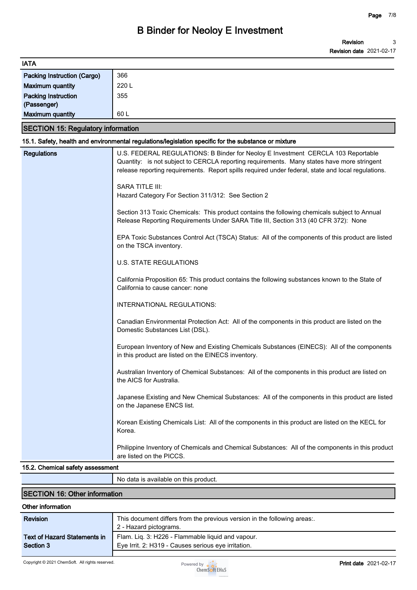| <b>IATA</b>                               |                                                                                                                                                                                                                                                                                      |
|-------------------------------------------|--------------------------------------------------------------------------------------------------------------------------------------------------------------------------------------------------------------------------------------------------------------------------------------|
| <b>Packing Instruction (Cargo)</b>        | 366                                                                                                                                                                                                                                                                                  |
| <b>Maximum quantity</b>                   | 220 L                                                                                                                                                                                                                                                                                |
| <b>Packing Instruction</b><br>(Passenger) | 355                                                                                                                                                                                                                                                                                  |
| <b>Maximum quantity</b>                   | 60 L                                                                                                                                                                                                                                                                                 |
| <b>SECTION 15: Regulatory information</b> |                                                                                                                                                                                                                                                                                      |
|                                           | 15.1. Safety, health and environmental regulations/legislation specific for the substance or mixture                                                                                                                                                                                 |
| <b>Regulations</b>                        | U.S. FEDERAL REGULATIONS: B Binder for Neoloy E Investment CERCLA 103 Reportable<br>Quantity: is not subject to CERCLA reporting requirements. Many states have more stringent<br>release reporting requirements. Report spills required under federal, state and local regulations. |
|                                           | <b>SARA TITLE III:</b><br>Hazard Category For Section 311/312: See Section 2                                                                                                                                                                                                         |
|                                           | Section 313 Toxic Chemicals: This product contains the following chemicals subject to Annual<br>Release Reporting Requirements Under SARA Title III, Section 313 (40 CFR 372): None                                                                                                  |
|                                           | EPA Toxic Substances Control Act (TSCA) Status: All of the components of this product are listed<br>on the TSCA inventory.                                                                                                                                                           |
|                                           | <b>U.S. STATE REGULATIONS</b>                                                                                                                                                                                                                                                        |
|                                           | California Proposition 65: This product contains the following substances known to the State of<br>California to cause cancer: none                                                                                                                                                  |
|                                           | INTERNATIONAL REGULATIONS:                                                                                                                                                                                                                                                           |
|                                           | Canadian Environmental Protection Act: All of the components in this product are listed on the<br>Domestic Substances List (DSL).                                                                                                                                                    |
|                                           | European Inventory of New and Existing Chemicals Substances (EINECS): All of the components<br>in this product are listed on the EINECS inventory.                                                                                                                                   |
|                                           | Australian Inventory of Chemical Substances: All of the components in this product are listed on<br>the AICS for Australia.                                                                                                                                                          |
|                                           | Japanese Existing and New Chemical Substances: All of the components in this product are listed<br>on the Japanese ENCS list.                                                                                                                                                        |
|                                           | Korean Existing Chemicals List: All of the components in this product are listed on the KECL for<br>Korea.                                                                                                                                                                           |
|                                           | Philippine Inventory of Chemicals and Chemical Substances: All of the components in this product<br>are listed on the PICCS.                                                                                                                                                         |
| 15.2. Chemical safety assessment          |                                                                                                                                                                                                                                                                                      |

**No data is available on this product.**

#### **SECTION 16: Other information**

#### **Other information**

| Revision                            | This document differs from the previous version in the following areas:.<br>2 - Hazard pictograms. |
|-------------------------------------|----------------------------------------------------------------------------------------------------|
| <b>Text of Hazard Statements in</b> | Flam. Liq. 3: H226 - Flammable liquid and vapour.                                                  |
| Section 3                           | Eye Irrit. 2: H319 - Causes serious eye irritation.                                                |
|                                     |                                                                                                    |